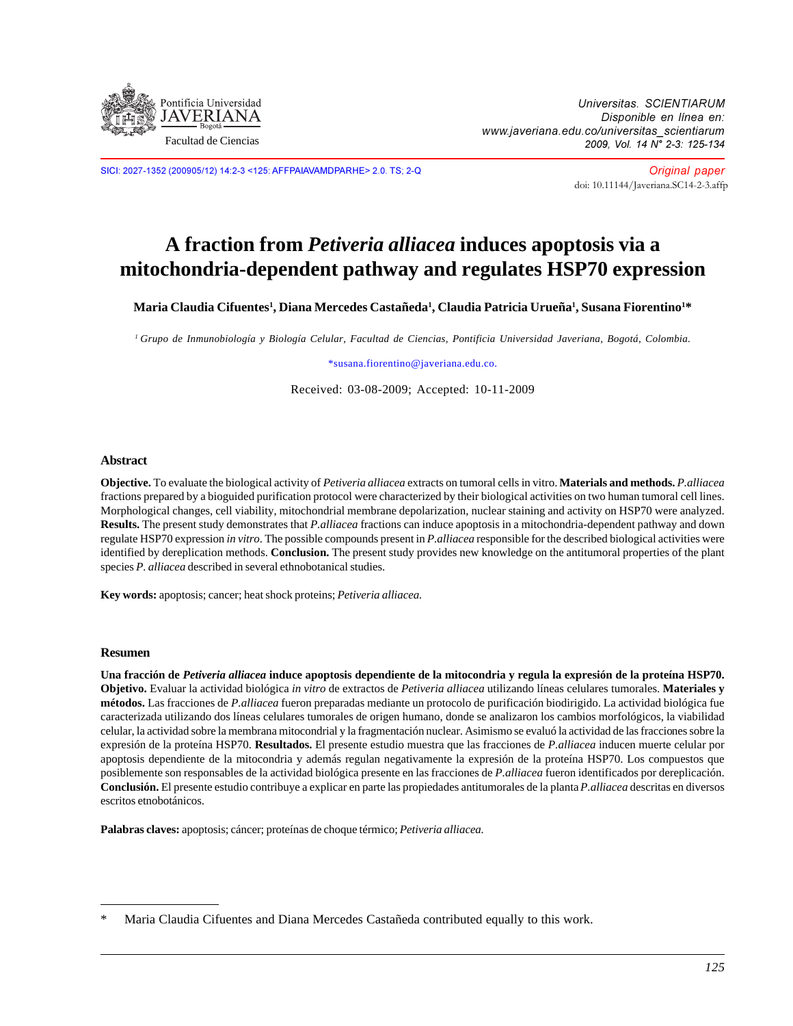

Universitas. SCIENTIARUM Disponible en línea en: www.javeriana.edu.co/universitas\_scientiarum 2009, Vol. 14 N° 2-3: 125-134

SICI: 2027-1352 (200905/12) 14:2-3 <125: AFFPAIAVAMDPARHE> 2.0. TS; 2-Q

Original paper [doi: 10.11144/Javeriana.SC14-2-3.affp](http://dx.doi.org/10.11144/javeriana.SC14-2-3.affp)

# **A fraction from** *Petiveria alliacea* **induces apoptosis via a mitochondria-dependent pathway and regulates HSP70 expression**

 $\mathbf{M}$ aria Claudia Cifuentes<sup>1</sup>, Diana Mercedes Castañeda<sup>1</sup>, Claudia Patricia Urueña<sup>1</sup>, Susana Fiorentino<sup>1</sup>\*

*1 Grupo de Inmunobiología y Biología Celular, Facultad de Ciencias, Pontificia Universidad Javeriana, Bogotá, Colombia.*

\*susana.fiorentino@javeriana.edu.co.

Received: 03-08-2009; Accepted: 10-11-2009

#### **Abstract**

**Objective.** To evaluate the biological activity of *Petiveria alliacea* extracts on tumoral cells in vitro. **Materials and methods.** *P.alliacea* fractions prepared by a bioguided purification protocol were characterized by their biological activities on two human tumoral cell lines. Morphological changes, cell viability, mitochondrial membrane depolarization, nuclear staining and activity on HSP70 were analyzed. **Results.** The present study demonstrates that *P.alliacea* fractions can induce apoptosis in a mitochondria-dependent pathway and down regulate HSP70 expression *in vitro*. The possible compounds present in *P.alliacea* responsible for the described biological activities were identified by dereplication methods. **Conclusion.** The present study provides new knowledge on the antitumoral properties of the plant species *P. alliacea* described in several ethnobotanical studies.

**Key words:** apoptosis; cancer; heat shock proteins; *Petiveria alliacea.*

#### **Resumen**

**Una fracción de** *Petiveria alliacea* **induce apoptosis dependiente de la mitocondria y regula la expresión de la proteína HSP70. Objetivo.** Evaluar la actividad biológica *in vitro* de extractos de *Petiveria alliacea* utilizando líneas celulares tumorales. **Materiales y métodos.** Las fracciones de *P.alliacea* fueron preparadas mediante un protocolo de purificación biodirigido. La actividad biológica fue caracterizada utilizando dos líneas celulares tumorales de origen humano, donde se analizaron los cambios morfológicos, la viabilidad celular, la actividad sobre la membrana mitocondrial y la fragmentación nuclear. Asimismo se evaluó la actividad de las fracciones sobre la expresión de la proteína HSP70. **Resultados.** El presente estudio muestra que las fracciones de *P.alliacea* inducen muerte celular por apoptosis dependiente de la mitocondria y además regulan negativamente la expresión de la proteína HSP70. Los compuestos que posiblemente son responsables de la actividad biológica presente en las fracciones de *P.alliacea* fueron identificados por dereplicación. **Conclusión.** El presente estudio contribuye a explicar en parte las propiedades antitumorales de la planta *P.alliacea* descritas en diversos escritos etnobotánicos.

**Palabras claves:** apoptosis; cáncer; proteínas de choque térmico; *Petiveria alliacea.*

Maria Claudia Cifuentes and Diana Mercedes Castañeda contributed equally to this work.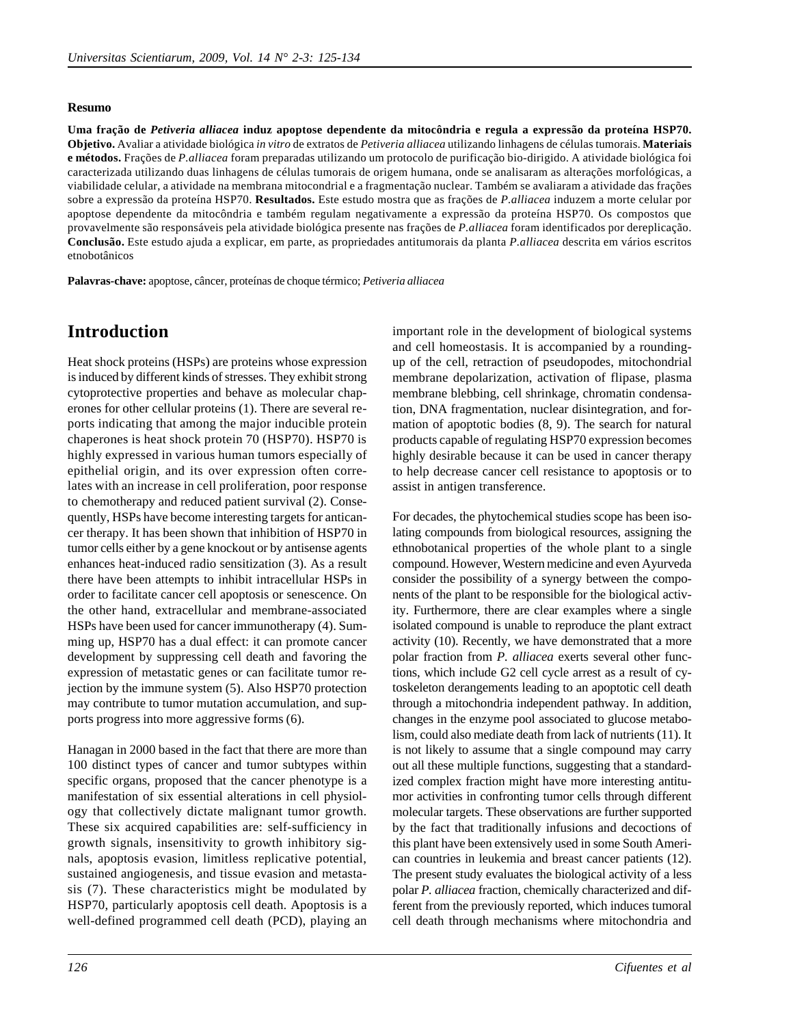#### **Resumo**

**Uma fração de** *Petiveria alliacea* **induz apoptose dependente da mitocôndria e regula a expressão da proteína HSP70. Objetivo.** Avaliar a atividade biológica *in vitro* de extratos de *Petiveria alliacea* utilizando linhagens de células tumorais. **Materiais e métodos.** Frações de *P.alliacea* foram preparadas utilizando um protocolo de purificação bio-dirigido. A atividade biológica foi caracterizada utilizando duas linhagens de células tumorais de origem humana, onde se analisaram as alterações morfológicas, a viabilidade celular, a atividade na membrana mitocondrial e a fragmentação nuclear. Também se avaliaram a atividade das frações sobre a expressão da proteína HSP70. **Resultados.** Este estudo mostra que as frações de *P.alliacea* induzem a morte celular por apoptose dependente da mitocôndria e também regulam negativamente a expressão da proteína HSP70. Os compostos que provavelmente são responsáveis pela atividade biológica presente nas frações de *P.alliacea* foram identificados por dereplicação. **Conclusão.** Este estudo ajuda a explicar, em parte, as propriedades antitumorais da planta *P.alliacea* descrita em vários escritos etnobotânicos

**Palavras-chave:** apoptose, câncer, proteínas de choque térmico; *Petiveria alliacea*

## **Introduction**

Heat shock proteins (HSPs) are proteins whose expression is induced by different kinds of stresses. They exhibit strong cytoprotective properties and behave as molecular chaperones for other cellular proteins (1). There are several reports indicating that among the major inducible protein chaperones is heat shock protein 70 (HSP70). HSP70 is highly expressed in various human tumors especially of epithelial origin, and its over expression often correlates with an increase in cell proliferation, poor response to chemotherapy and reduced patient survival (2). Consequently, HSPs have become interesting targets for anticancer therapy. It has been shown that inhibition of HSP70 in tumor cells either by a gene knockout or by antisense agents enhances heat-induced radio sensitization (3). As a result there have been attempts to inhibit intracellular HSPs in order to facilitate cancer cell apoptosis or senescence. On the other hand, extracellular and membrane-associated HSPs have been used for cancer immunotherapy (4). Summing up, HSP70 has a dual effect: it can promote cancer development by suppressing cell death and favoring the expression of metastatic genes or can facilitate tumor rejection by the immune system (5). Also HSP70 protection may contribute to tumor mutation accumulation, and supports progress into more aggressive forms (6).

Hanagan in 2000 based in the fact that there are more than 100 distinct types of cancer and tumor subtypes within specific organs, proposed that the cancer phenotype is a manifestation of six essential alterations in cell physiology that collectively dictate malignant tumor growth. These six acquired capabilities are: self-sufficiency in growth signals, insensitivity to growth inhibitory signals, apoptosis evasion, limitless replicative potential, sustained angiogenesis, and tissue evasion and metastasis (7). These characteristics might be modulated by HSP70, particularly apoptosis cell death. Apoptosis is a well-defined programmed cell death (PCD), playing an

important role in the development of biological systems and cell homeostasis. It is accompanied by a roundingup of the cell, retraction of pseudopodes, mitochondrial membrane depolarization, activation of flipase, plasma membrane blebbing, cell shrinkage, chromatin condensation, DNA fragmentation, nuclear disintegration, and formation of apoptotic bodies (8, 9). The search for natural products capable of regulating HSP70 expression becomes highly desirable because it can be used in cancer therapy to help decrease cancer cell resistance to apoptosis or to assist in antigen transference.

For decades, the phytochemical studies scope has been isolating compounds from biological resources, assigning the ethnobotanical properties of the whole plant to a single compound. However, Western medicine and even Ayurveda consider the possibility of a synergy between the components of the plant to be responsible for the biological activity. Furthermore, there are clear examples where a single isolated compound is unable to reproduce the plant extract activity (10). Recently, we have demonstrated that a more polar fraction from *P. alliacea* exerts several other functions, which include G2 cell cycle arrest as a result of cytoskeleton derangements leading to an apoptotic cell death through a mitochondria independent pathway. In addition, changes in the enzyme pool associated to glucose metabolism, could also mediate death from lack of nutrients (11). It is not likely to assume that a single compound may carry out all these multiple functions, suggesting that a standardized complex fraction might have more interesting antitumor activities in confronting tumor cells through different molecular targets. These observations are further supported by the fact that traditionally infusions and decoctions of this plant have been extensively used in some South American countries in leukemia and breast cancer patients (12). The present study evaluates the biological activity of a less polar *P. alliacea* fraction, chemically characterized and different from the previously reported, which induces tumoral cell death through mechanisms where mitochondria and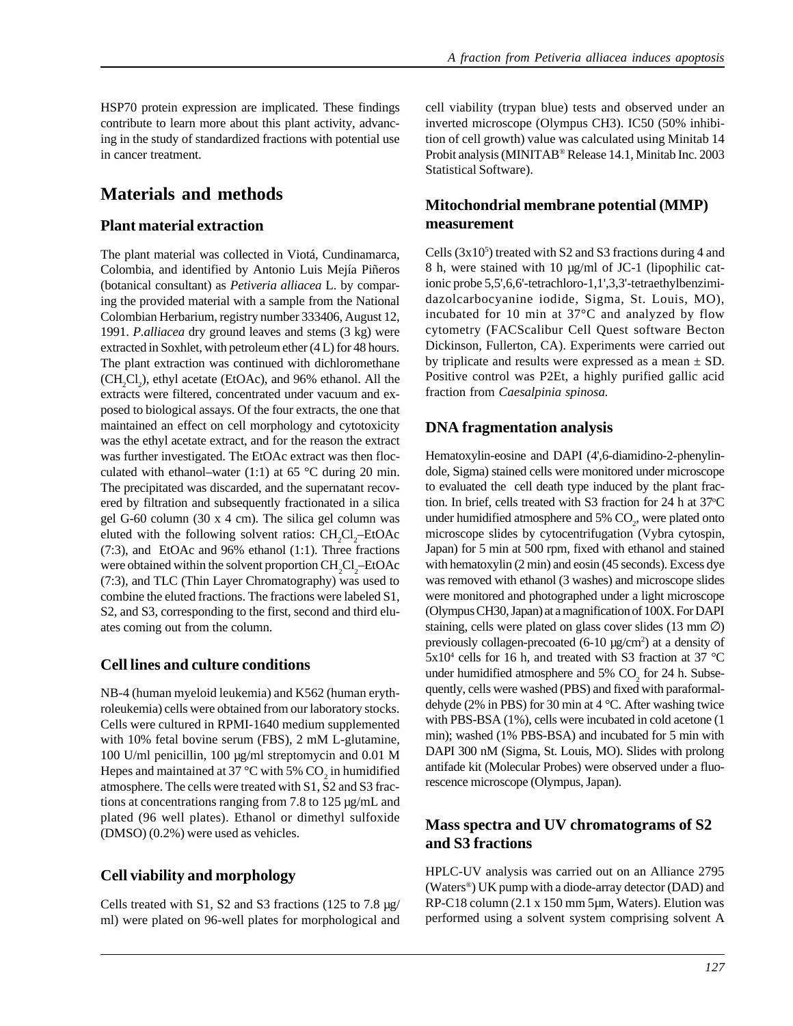HSP70 protein expression are implicated. These findings contribute to learn more about this plant activity, advancing in the study of standardized fractions with potential use in cancer treatment.

## **Materials and methods**

#### **Plant material extraction**

The plant material was collected in Viotá, Cundinamarca, Colombia, and identified by Antonio Luis Mejía Piñeros (botanical consultant) as *Petiveria alliacea* L. by comparing the provided material with a sample from the National Colombian Herbarium, registry number 333406, August 12, 1991. *P.alliacea* dry ground leaves and stems (3 kg) were extracted in Soxhlet, with petroleum ether (4 L) for 48 hours. The plant extraction was continued with dichloromethane  $(CH_2Cl_2)$ , ethyl acetate (EtOAc), and 96% ethanol. All the extracts were filtered, concentrated under vacuum and exposed to biological assays. Of the four extracts, the one that maintained an effect on cell morphology and cytotoxicity was the ethyl acetate extract, and for the reason the extract was further investigated. The EtOAc extract was then flocculated with ethanol–water  $(1:1)$  at 65 °C during 20 min. The precipitated was discarded, and the supernatant recovered by filtration and subsequently fractionated in a silica gel G-60 column (30 x 4 cm). The silica gel column was eluted with the following solvent ratios:  $CH_2Cl_2$ -EtOAc (7:3), and EtOAc and 96% ethanol (1:1). Three fractions were obtained within the solvent proportion  $\rm CH_{2}Cl_{2}$ –EtOAc (7:3), and TLC (Thin Layer Chromatography) was used to combine the eluted fractions. The fractions were labeled S1, S2, and S3, corresponding to the first, second and third eluates coming out from the column.

#### **Cell lines and culture conditions**

NB-4 (human myeloid leukemia) and K562 (human erythroleukemia) cells were obtained from our laboratory stocks. Cells were cultured in RPMI-1640 medium supplemented with 10% fetal bovine serum (FBS), 2 mM L-glutamine, 100 U/ml penicillin, 100 µg/ml streptomycin and 0.01 M Hepes and maintained at 37 °C with 5%  $\mathrm{CO}_2$  in humidified atmosphere. The cells were treated with S1, S2 and S3 fractions at concentrations ranging from 7.8 to 125 µg/mL and plated (96 well plates). Ethanol or dimethyl sulfoxide (DMSO) (0.2%) were used as vehicles.

#### **Cell viability and morphology**

Cells treated with S1, S2 and S3 fractions (125 to 7.8 µg/ ml) were plated on 96-well plates for morphological and cell viability (trypan blue) tests and observed under an inverted microscope (Olympus CH3). IC50 (50% inhibition of cell growth) value was calculated using Minitab 14 Probit analysis (MINITAB® Release 14.1, Minitab Inc. 2003 Statistical Software).

#### **Mitochondrial membrane potential (MMP) measurement**

Cells  $(3x10<sup>5</sup>)$  treated with S2 and S3 fractions during 4 and 8 h, were stained with 10  $\mu$ g/ml of JC-1 (lipophilic cationic probe 5,5',6,6'-tetrachloro-1,1',3,3'-tetraethylbenzimidazolcarbocyanine iodide, Sigma, St. Louis, MO), incubated for 10 min at 37°C and analyzed by flow cytometry (FACScalibur Cell Quest software Becton Dickinson, Fullerton, CA). Experiments were carried out by triplicate and results were expressed as a mean  $\pm$  SD. Positive control was P2Et, a highly purified gallic acid fraction from *Caesalpinia spinosa*.

#### **DNA fragmentation analysis**

Hematoxylin-eosine and DAPI (4',6-diamidino-2-phenylindole, Sigma) stained cells were monitored under microscope to evaluated the cell death type induced by the plant fraction. In brief, cells treated with S3 fraction for 24 h at 37°C under humidified atmosphere and  $5\%$  CO<sub>2</sub>, were plated onto microscope slides by cytocentrifugation (Vybra cytospin, Japan) for 5 min at 500 rpm, fixed with ethanol and stained with hematoxylin (2 min) and eosin (45 seconds). Excess dye was removed with ethanol (3 washes) and microscope slides were monitored and photographed under a light microscope (Olympus CH30, Japan) at a magnification of 100X. For DAPI staining, cells were plated on glass cover slides  $(13 \text{ mm } \emptyset)$ previously collagen-precoated (6-10 µg/cm<sup>2</sup>) at a density of  $5x10<sup>4</sup>$  cells for 16 h, and treated with S3 fraction at 37 °C under humidified atmosphere and  $5\%$  CO<sub>2</sub> for 24 h. Subsequently, cells were washed (PBS) and fixed with paraformaldehyde (2% in PBS) for 30 min at 4 °C. After washing twice with PBS-BSA (1%), cells were incubated in cold acetone (1 min); washed (1% PBS-BSA) and incubated for 5 min with DAPI 300 nM (Sigma, St. Louis, MO). Slides with prolong antifade kit (Molecular Probes) were observed under a fluorescence microscope (Olympus, Japan).

#### **Mass spectra and UV chromatograms of S2 and S3 fractions**

HPLC-UV analysis was carried out on an Alliance 2795 (Waters®) UK pump with a diode-array detector (DAD) and RP-C18 column (2.1 x 150 mm 5µm, Waters). Elution was performed using a solvent system comprising solvent A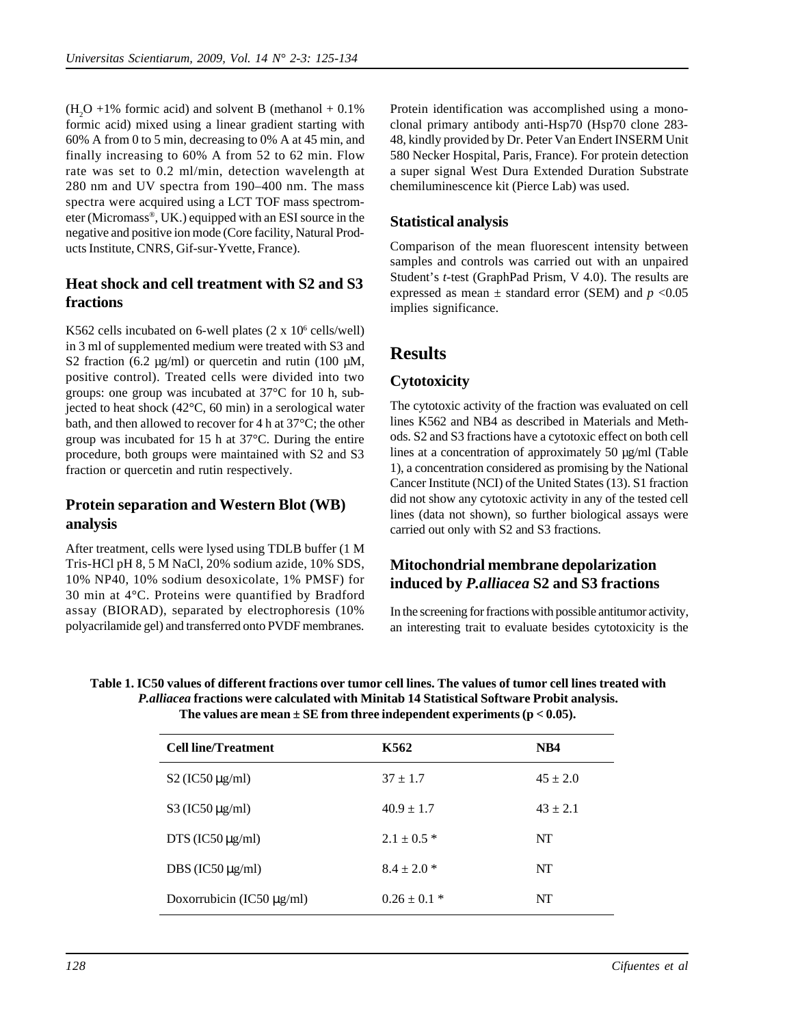$(H<sub>2</sub>O +1%$  formic acid) and solvent B (methanol + 0.1%) formic acid) mixed using a linear gradient starting with 60% A from 0 to 5 min, decreasing to 0% A at 45 min, and finally increasing to 60% A from 52 to 62 min. Flow rate was set to 0.2 ml/min, detection wavelength at 280 nm and UV spectra from 190–400 nm. The mass spectra were acquired using a LCT TOF mass spectrometer (Micromass®, UK.) equipped with an ESI source in the negative and positive ion mode (Core facility, Natural Products Institute, CNRS, Gif-sur-Yvette, France).

#### **Heat shock and cell treatment with S2 and S3 fractions**

K562 cells incubated on 6-well plates (2 x 10<sup>6</sup> cells/well) in 3 ml of supplemented medium were treated with S3 and S2 fraction (6.2  $\mu$ g/ml) or quercetin and rutin (100  $\mu$ M, positive control). Treated cells were divided into two groups: one group was incubated at 37°C for 10 h, subjected to heat shock (42°C, 60 min) in a serological water bath, and then allowed to recover for 4 h at 37°C; the other group was incubated for 15 h at 37°C. During the entire procedure, both groups were maintained with S2 and S3 fraction or quercetin and rutin respectively.

#### **Protein separation and Western Blot (WB) analysis**

After treatment, cells were lysed using TDLB buffer (1 M Tris-HCl pH 8, 5 M NaCl, 20% sodium azide, 10% SDS, 10% NP40, 10% sodium desoxicolate, 1% PMSF) for 30 min at 4°C. Proteins were quantified by Bradford assay (BIORAD), separated by electrophoresis (10% polyacrilamide gel) and transferred onto PVDF membranes.

Protein identification was accomplished using a monoclonal primary antibody anti-Hsp70 (Hsp70 clone 283- 48, kindly provided by Dr. Peter Van Endert INSERM Unit 580 Necker Hospital, Paris, France). For protein detection a super signal West Dura Extended Duration Substrate chemiluminescence kit (Pierce Lab) was used.

## **Statistical analysis**

Comparison of the mean fluorescent intensity between samples and controls was carried out with an unpaired Student's *t*-test (GraphPad Prism, V 4.0). The results are expressed as mean  $\pm$  standard error (SEM) and  $p < 0.05$ implies significance.

# **Results**

#### **Cytotoxicity**

The cytotoxic activity of the fraction was evaluated on cell lines K562 and NB4 as described in Materials and Methods. S2 and S3 fractions have a cytotoxic effect on both cell lines at a concentration of approximately 50 µg/ml (Table 1), a concentration considered as promising by the National Cancer Institute (NCI) of the United States (13). S1 fraction did not show any cytotoxic activity in any of the tested cell lines (data not shown), so further biological assays were carried out only with S2 and S3 fractions.

## **Mitochondrial membrane depolarization induced by** *P.alliacea* **S2 and S3 fractions**

In the screening for fractions with possible antitumor activity, an interesting trait to evaluate besides cytotoxicity is the

| Table 1. IC50 values of different fractions over tumor cell lines. The values of tumor cell lines treated with |
|----------------------------------------------------------------------------------------------------------------|
| <i>P. alliacea</i> fractions were calculated with Minitab 14 Statistical Software Probit analysis.             |
| The values are mean $\pm$ SE from three independent experiments ( $p < 0.05$ ).                                |

| <b>Cell line/Treatment</b>     | K562             | NB4          |
|--------------------------------|------------------|--------------|
| $S2$ (IC50 $\mu$ g/ml)         | $37 + 1.7$       | $45 \pm 2.0$ |
| $S3$ (IC50 $\mu$ g/ml)         | $40.9 \pm 1.7$   | $43 \pm 2.1$ |
| DTS (IC50 $\mu$ g/ml)          | $2.1 \pm 0.5$ *  | NT           |
| DBS (IC50 $\mu$ g/ml)          | $8.4 \pm 2.0$ *  | NT           |
| Doxorrubicin (IC50 $\mu$ g/ml) | $0.26 \pm 0.1$ * | NT           |
|                                |                  |              |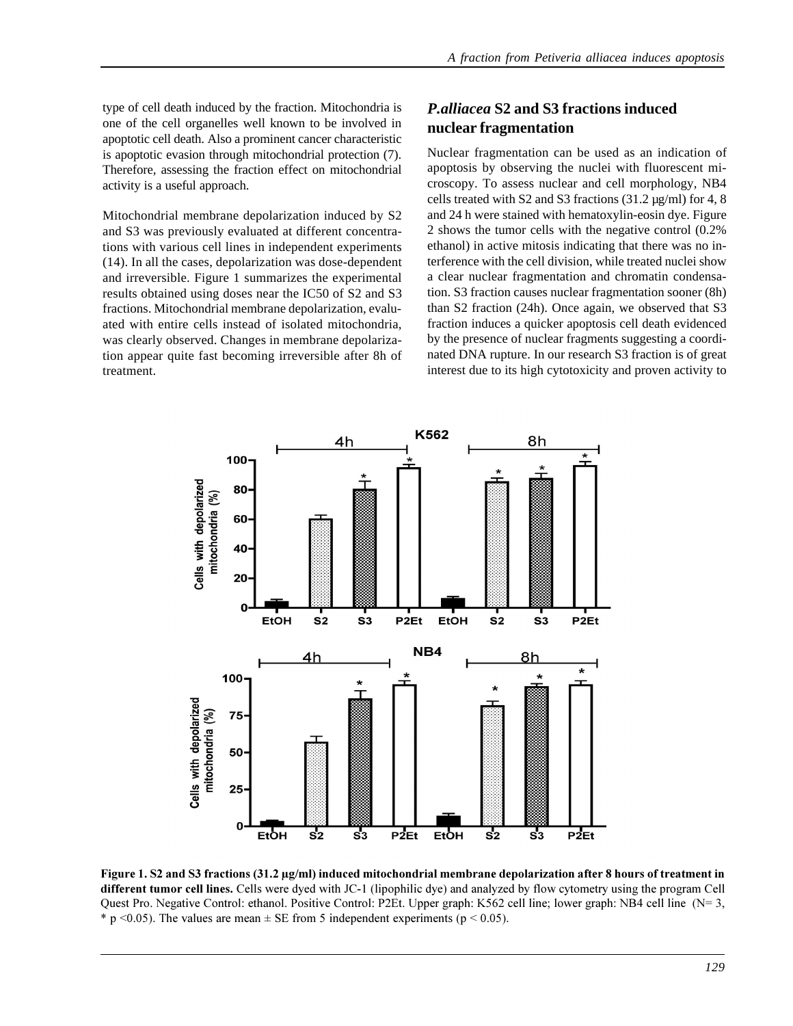type of cell death induced by the fraction. Mitochondria is one of the cell organelles well known to be involved in apoptotic cell death. Also a prominent cancer characteristic is apoptotic evasion through mitochondrial protection (7). Therefore, assessing the fraction effect on mitochondrial activity is a useful approach.

Mitochondrial membrane depolarization induced by S2 and S3 was previously evaluated at different concentrations with various cell lines in independent experiments (14). In all the cases, depolarization was dose-dependent and irreversible. Figure 1 summarizes the experimental results obtained using doses near the IC50 of S2 and S3 fractions. Mitochondrial membrane depolarization, evaluated with entire cells instead of isolated mitochondria, was clearly observed. Changes in membrane depolarization appear quite fast becoming irreversible after 8h of treatment.

## *P.alliacea* **S2 and S3 fractions induced nuclear fragmentation**

Nuclear fragmentation can be used as an indication of apoptosis by observing the nuclei with fluorescent microscopy. To assess nuclear and cell morphology, NB4 cells treated with S2 and S3 fractions  $(31.2 \,\mu\text{g/ml})$  for 4, 8 and 24 h were stained with hematoxylin-eosin dye. Figure 2 shows the tumor cells with the negative control (0.2% ethanol) in active mitosis indicating that there was no interference with the cell division, while treated nuclei show a clear nuclear fragmentation and chromatin condensation. S3 fraction causes nuclear fragmentation sooner (8h) than S2 fraction (24h). Once again, we observed that S3 fraction induces a quicker apoptosis cell death evidenced by the presence of nuclear fragments suggesting a coordinated DNA rupture. In our research S3 fraction is of great interest due to its high cytotoxicity and proven activity to



Figure 1. S2 and S3 fractions (31.2 µg/ml) induced mitochondrial membrane depolarization after 8 hours of treatment in different tumor cell lines. Cells were dyed with JC-1 (lipophilic dye) and analyzed by flow cytometry using the program Cell Quest Pro. Negative Control: ethanol. Positive Control: P2Et. Upper graph: K562 cell line; lower graph: NB4 cell line (N= 3, \* p < 0.05). The values are mean  $\pm$  SE from 5 independent experiments (p < 0.05).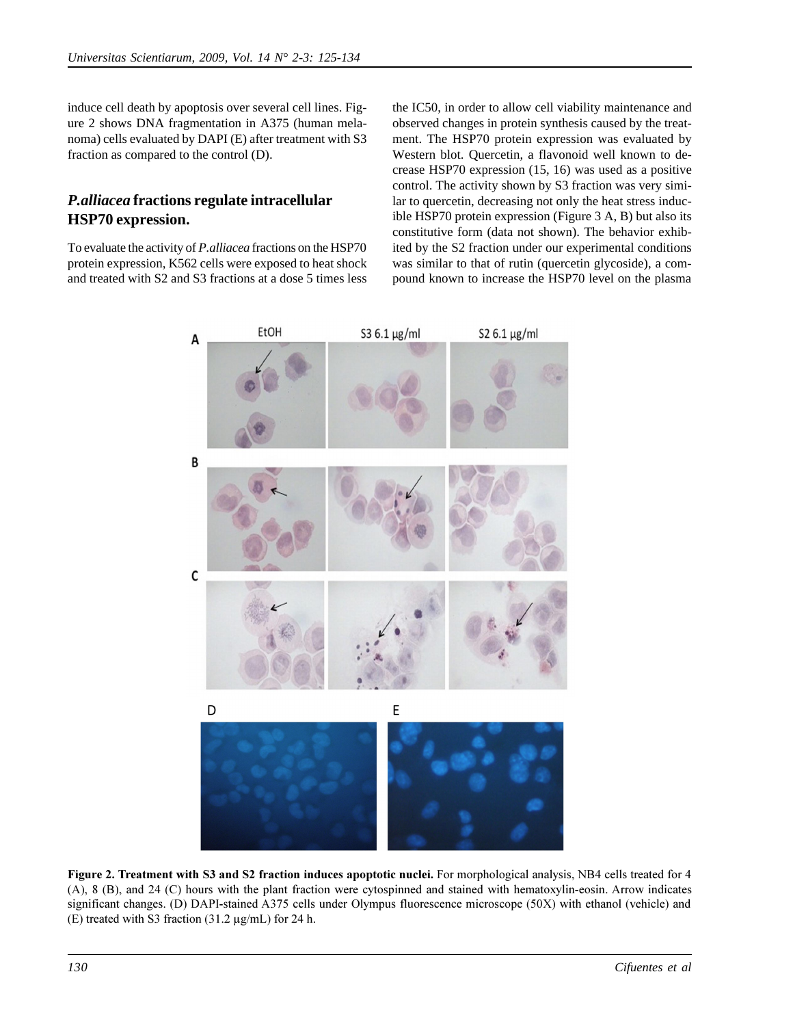induce cell death by apoptosis over several cell lines. Figure 2 shows DNA fragmentation in A375 (human melanoma) cells evaluated by DAPI (E) after treatment with S3 fraction as compared to the control (D).

## *P.alliacea* **fractions regulate intracellular HSP70 expression.**

To evaluate the activity of *P.alliacea* fractions on the HSP70 protein expression, K562 cells were exposed to heat shock and treated with S2 and S3 fractions at a dose 5 times less

the IC50, in order to allow cell viability maintenance and observed changes in protein synthesis caused by the treatment. The HSP70 protein expression was evaluated by Western blot. Quercetin, a flavonoid well known to decrease HSP70 expression (15, 16) was used as a positive control. The activity shown by S3 fraction was very similar to quercetin, decreasing not only the heat stress inducible HSP70 protein expression (Figure 3 A, B) but also its constitutive form (data not shown). The behavior exhibited by the S2 fraction under our experimental conditions was similar to that of rutin (quercetin glycoside), a compound known to increase the HSP70 level on the plasma



Figure 2. Treatment with S3 and S2 fraction induces apoptotic nuclei. For morphological analysis, NB4 cells treated for 4 (A), 8 (B), and 24 (C) hours with the plant fraction were cytospinned and stained with hematoxylin-eosin. Arrow indicates significant changes. (D) DAPI-stained A375 cells under Olympus fluorescence microscope (50X) with ethanol (vehicle) and (E) treated with S3 fraction (31.2 µg/mL) for 24 h.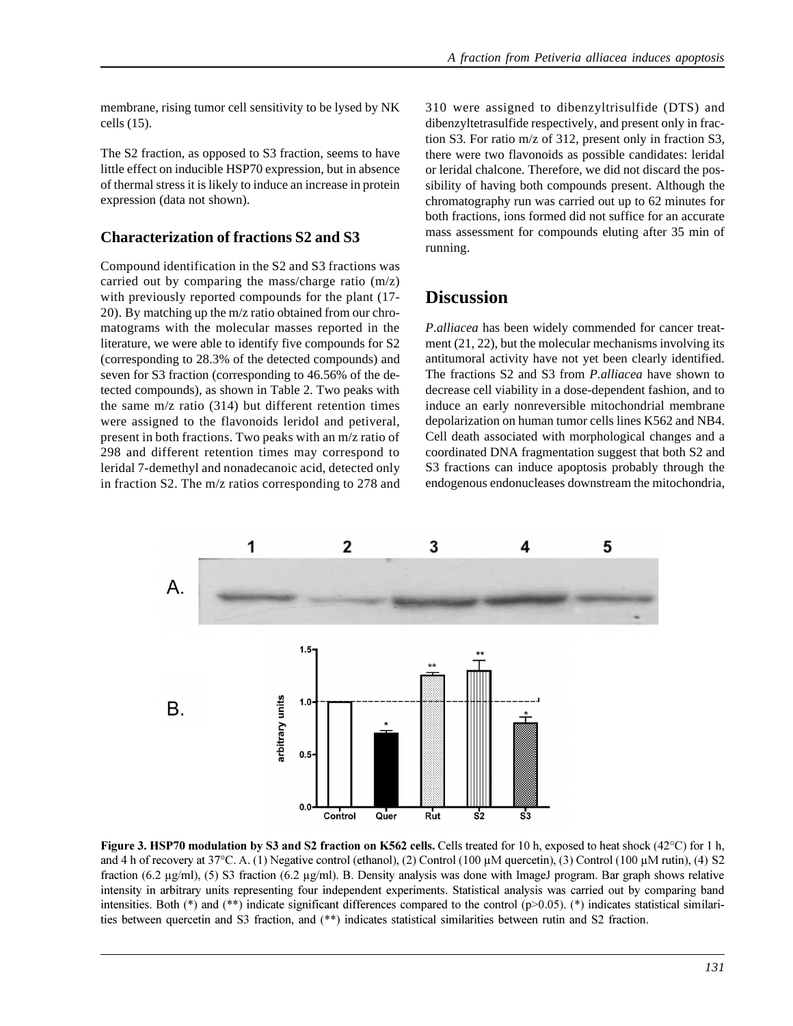membrane, rising tumor cell sensitivity to be lysed by NK cells (15).

The S2 fraction, as opposed to S3 fraction, seems to have little effect on inducible HSP70 expression, but in absence of thermal stress it is likely to induce an increase in protein expression (data not shown).

#### **Characterization of fractions S2 and S3**

Compound identification in the S2 and S3 fractions was carried out by comparing the mass/charge ratio (m/z) with previously reported compounds for the plant (17- 20). By matching up the m/z ratio obtained from our chromatograms with the molecular masses reported in the literature, we were able to identify five compounds for S2 (corresponding to 28.3% of the detected compounds) and seven for S3 fraction (corresponding to 46.56% of the detected compounds), as shown in Table 2. Two peaks with the same  $m/z$  ratio (314) but different retention times were assigned to the flavonoids leridol and petiveral, present in both fractions. Two peaks with an m/z ratio of 298 and different retention times may correspond to leridal 7-demethyl and nonadecanoic acid, detected only in fraction S2. The m/z ratios corresponding to 278 and 310 were assigned to dibenzyltrisulfide (DTS) and dibenzyltetrasulfide respectively, and present only in fraction S3. For ratio m/z of 312, present only in fraction S3, there were two flavonoids as possible candidates: leridal or leridal chalcone. Therefore, we did not discard the possibility of having both compounds present. Although the chromatography run was carried out up to 62 minutes for both fractions, ions formed did not suffice for an accurate mass assessment for compounds eluting after 35 min of running.

## **Discussion**

*P.alliacea* has been widely commended for cancer treatment (21, 22), but the molecular mechanisms involving its antitumoral activity have not yet been clearly identified. The fractions S2 and S3 from *P.alliacea* have shown to decrease cell viability in a dose-dependent fashion, and to induce an early nonreversible mitochondrial membrane depolarization on human tumor cells lines K562 and NB4. Cell death associated with morphological changes and a coordinated DNA fragmentation suggest that both S2 and S3 fractions can induce apoptosis probably through the endogenous endonucleases downstream the mitochondria,



Figure 3. HSP70 modulation by S3 and S2 fraction on K562 cells. Cells treated for 10 h, exposed to heat shock  $(42^{\circ}C)$  for 1 h, and 4 h of recovery at 37°C. A. (1) Negative control (ethanol), (2) Control (100 µM quercetin), (3) Control (100 µM rutin), (4) S2 fraction (6.2  $\mu$ g/ml), (5) S3 fraction (6.2  $\mu$ g/ml). B. Density analysis was done with ImageJ program. Bar graph shows relative intensity in arbitrary units representing four independent experiments. Statistical analysis was carried out by comparing band intensities. Both (\*) and (\*\*) indicate significant differences compared to the control (p>0.05). (\*) indicates statistical similarities between quercetin and S3 fraction, and (\*\*) indicates statistical similarities between rutin and S2 fraction.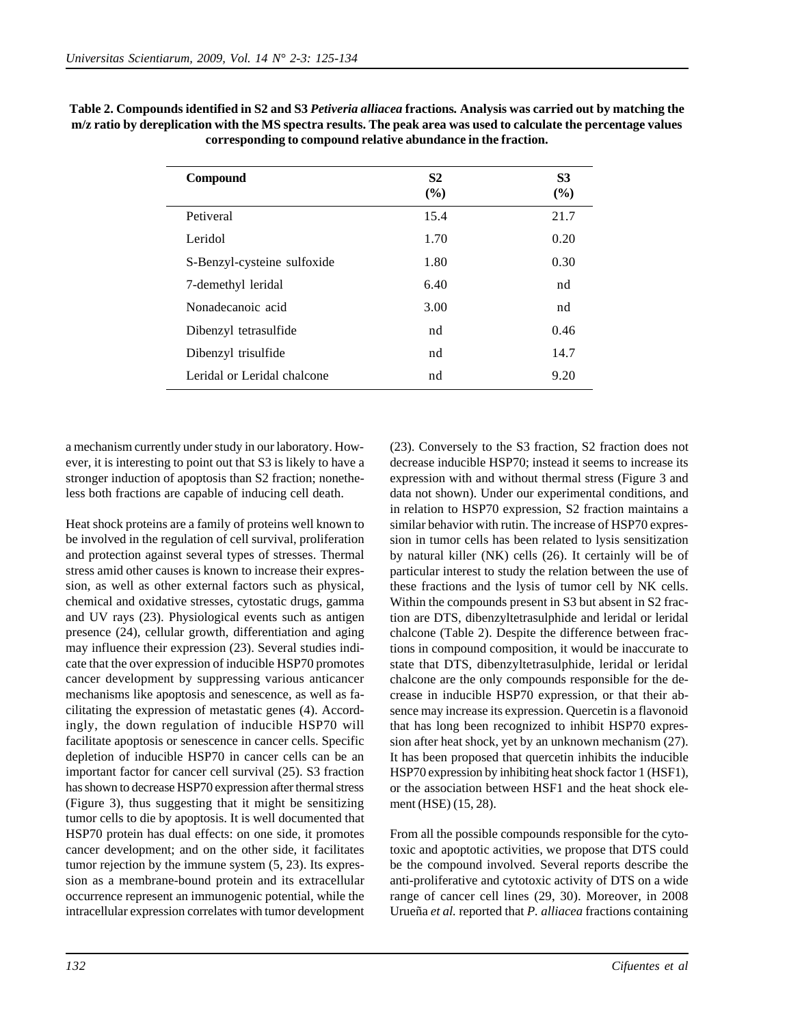| <b>Compound</b>             | S <sub>2</sub><br>(%) | <b>S3</b><br>$(\%)$ |
|-----------------------------|-----------------------|---------------------|
| Petiveral                   | 15.4                  | 21.7                |
| Leridol                     | 1.70                  | 0.20                |
| S-Benzyl-cysteine sulfoxide | 1.80                  | 0.30                |
| 7-demethyl leridal          | 6.40                  | nd                  |
| Nonadecanoic acid           | 3.00                  | nd                  |
| Dibenzyl tetrasulfide       | nd                    | 0.46                |
| Dibenzyl trisulfide         | nd                    | 14.7                |
| Leridal or Leridal chalcone | nd                    | 9.20                |

**Table 2. Compounds identified in S2 and S3** *Petiveria alliacea* **fractions***.* **Analysis was carried out by matching the m/z ratio by dereplication with the MS spectra results. The peak area was used to calculate the percentage values corresponding to compound relative abundance in the fraction.**

a mechanism currently under study in our laboratory. However, it is interesting to point out that S3 is likely to have a stronger induction of apoptosis than S2 fraction; nonetheless both fractions are capable of inducing cell death.

Heat shock proteins are a family of proteins well known to be involved in the regulation of cell survival, proliferation and protection against several types of stresses. Thermal stress amid other causes is known to increase their expression, as well as other external factors such as physical, chemical and oxidative stresses, cytostatic drugs, gamma and UV rays (23). Physiological events such as antigen presence (24), cellular growth, differentiation and aging may influence their expression (23). Several studies indicate that the over expression of inducible HSP70 promotes cancer development by suppressing various anticancer mechanisms like apoptosis and senescence, as well as facilitating the expression of metastatic genes (4). Accordingly, the down regulation of inducible HSP70 will facilitate apoptosis or senescence in cancer cells. Specific depletion of inducible HSP70 in cancer cells can be an important factor for cancer cell survival (25). S3 fraction has shown to decrease HSP70 expression after thermal stress (Figure 3), thus suggesting that it might be sensitizing tumor cells to die by apoptosis. It is well documented that HSP70 protein has dual effects: on one side, it promotes cancer development; and on the other side, it facilitates tumor rejection by the immune system (5, 23). Its expression as a membrane-bound protein and its extracellular occurrence represent an immunogenic potential, while the intracellular expression correlates with tumor development

(23). Conversely to the S3 fraction, S2 fraction does not decrease inducible HSP70; instead it seems to increase its expression with and without thermal stress (Figure 3 and data not shown). Under our experimental conditions, and in relation to HSP70 expression, S2 fraction maintains a similar behavior with rutin. The increase of HSP70 expression in tumor cells has been related to lysis sensitization by natural killer (NK) cells (26). It certainly will be of particular interest to study the relation between the use of these fractions and the lysis of tumor cell by NK cells. Within the compounds present in S3 but absent in S2 fraction are DTS, dibenzyltetrasulphide and leridal or leridal chalcone (Table 2). Despite the difference between fractions in compound composition, it would be inaccurate to state that DTS, dibenzyltetrasulphide, leridal or leridal chalcone are the only compounds responsible for the decrease in inducible HSP70 expression, or that their absence may increase its expression. Quercetin is a flavonoid that has long been recognized to inhibit HSP70 expression after heat shock, yet by an unknown mechanism (27). It has been proposed that quercetin inhibits the inducible HSP70 expression by inhibiting heat shock factor 1 (HSF1), or the association between HSF1 and the heat shock element (HSE) (15, 28).

From all the possible compounds responsible for the cytotoxic and apoptotic activities, we propose that DTS could be the compound involved. Several reports describe the anti-proliferative and cytotoxic activity of DTS on a wide range of cancer cell lines (29, 30). Moreover, in 2008 Urueña *et al.* reported that *P. alliacea* fractions containing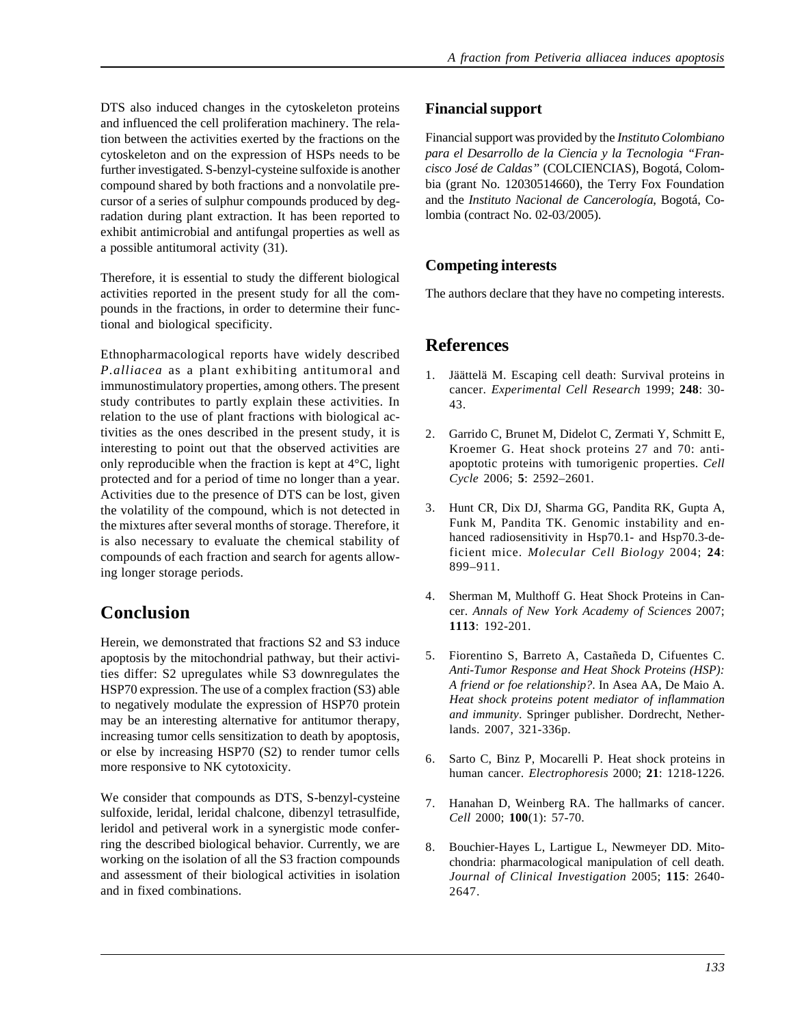DTS also induced changes in the cytoskeleton proteins and influenced the cell proliferation machinery. The relation between the activities exerted by the fractions on the cytoskeleton and on the expression of HSPs needs to be further investigated. S-benzyl-cysteine sulfoxide is another compound shared by both fractions and a nonvolatile precursor of a series of sulphur compounds produced by degradation during plant extraction. It has been reported to exhibit antimicrobial and antifungal properties as well as a possible antitumoral activity (31).

Therefore, it is essential to study the different biological activities reported in the present study for all the compounds in the fractions, in order to determine their functional and biological specificity.

Ethnopharmacological reports have widely described *P.alliacea* as a plant exhibiting antitumoral and immunostimulatory properties, among others. The present study contributes to partly explain these activities. In relation to the use of plant fractions with biological activities as the ones described in the present study, it is interesting to point out that the observed activities are only reproducible when the fraction is kept at 4°C, light protected and for a period of time no longer than a year. Activities due to the presence of DTS can be lost, given the volatility of the compound, which is not detected in the mixtures after several months of storage. Therefore, it is also necessary to evaluate the chemical stability of compounds of each fraction and search for agents allowing longer storage periods.

# **Conclusion**

Herein, we demonstrated that fractions S2 and S3 induce apoptosis by the mitochondrial pathway, but their activities differ: S2 upregulates while S3 downregulates the HSP70 expression. The use of a complex fraction (S3) able to negatively modulate the expression of HSP70 protein may be an interesting alternative for antitumor therapy, increasing tumor cells sensitization to death by apoptosis, or else by increasing HSP70 (S2) to render tumor cells more responsive to NK cytotoxicity.

We consider that compounds as DTS, S-benzyl-cysteine sulfoxide, leridal, leridal chalcone, dibenzyl tetrasulfide, leridol and petiveral work in a synergistic mode conferring the described biological behavior. Currently, we are working on the isolation of all the S3 fraction compounds and assessment of their biological activities in isolation and in fixed combinations.

#### **Financial support**

Financial support was provided by the *Instituto Colombiano para el Desarrollo de la Ciencia y la Tecnologia "Francisco José de Caldas"* (COLCIENCIAS), Bogotá, Colombia (grant No. 12030514660), the Terry Fox Foundation and the *Instituto Nacional de Cancerología*, Bogotá, Colombia (contract No. 02-03/2005).

## **Competing interests**

The authors declare that they have no competing interests.

## **References**

- 1. Jäättelä M. Escaping cell death: Survival proteins in cancer. *Experimental Cell Research* 1999; **248**: 30- 43.
- 2. Garrido C, Brunet M, Didelot C, Zermati Y, Schmitt E, Kroemer G. Heat shock proteins 27 and 70: antiapoptotic proteins with tumorigenic properties. *Cell Cycle* 2006; **5**: 2592–2601.
- 3. Hunt CR, Dix DJ, Sharma GG, Pandita RK, Gupta A, Funk M, Pandita TK. Genomic instability and enhanced radiosensitivity in Hsp70.1- and Hsp70.3-deficient mice. *Molecular Cell Biology* 2004; **24**: 899–911.
- 4. Sherman M, Multhoff G. Heat Shock Proteins in Cancer. *Annals of New York Academy of Sciences* 2007; **1113**: 192-201.
- 5. Fiorentino S, Barreto A, Castañeda D, Cifuentes C. *Anti-Tumor Response and Heat Shock Proteins (HSP): A friend or foe relationship?*. In Asea AA, De Maio A. *Heat shock proteins potent mediator of inflammation and immunity*. Springer publisher. Dordrecht, Netherlands. 2007, 321-336p.
- 6. Sarto C, Binz P, Mocarelli P. Heat shock proteins in human cancer. *Electrophoresis* 2000; **21**: 1218-1226.
- 7. Hanahan D, Weinberg RA. The hallmarks of cancer. *Cell* 2000; **100**(1): 57-70.
- 8. Bouchier-Hayes L, Lartigue L, Newmeyer DD. Mitochondria: pharmacological manipulation of cell death. *Journal of Clinical Investigation* 2005; **115**: 2640- 2647.